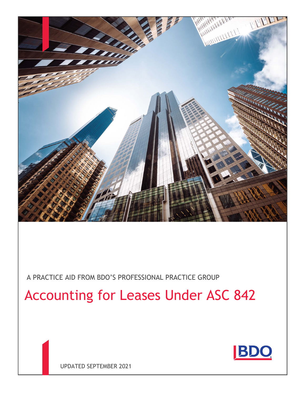

A PRACTICE AID FROM BDO'S PROFESSIONAL PRACTICE GROUP

# Accounting for Leases Under ASC 842



UPDATED SEPTEMBER 2021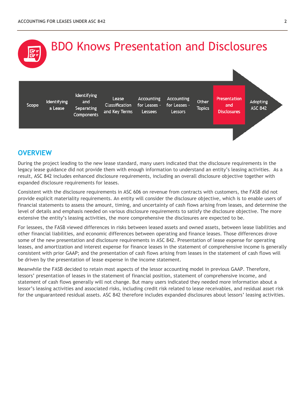

## **OVERVIEW**

During the project leading to the new lease standard, many users indicated that the disclosure requirements in the legacy lease guidance did not provide them with enough information to understand an entity's leasing activities. As a result, ASC 842 includes enhanced disclosure requirements, including an overall disclosure objective together with expanded disclosure requirements for leases.

Consistent with the disclosure requirements in ASC 606 on revenue from contracts with customers, the FASB did not provide explicit materiality requirements. An entity will consider the disclosure objective, which is to enable users of financial statements to assess the amount, timing, and uncertainty of cash flows arising from leases, and determine the level of details and emphasis needed on various disclosure requirements to satisfy the disclosure objective. The more extensive the entity's leasing activities, the more comprehensive the disclosures are expected to be.

For lessees, the FASB viewed differences in risks between leased assets and owned assets, between lease liabilities and other financial liabilities, and economic differences between operating and finance leases. Those differences drove some of the new presentation and disclosure requirements in ASC 842. Presentation of lease expense for operating leases, and amortization and interest expense for finance leases in the statement of comprehensive income is generally consistent with prior GAAP; and the presentation of cash flows arising from leases in the statement of cash flows will be driven by the presentation of lease expense in the income statement.

Meanwhile the FASB decided to retain most aspects of the lessor accounting model in previous GAAP. Therefore, lessors' presentation of leases in the statement of financial position, statement of comprehensive income, and statement of cash flows generally will not change. But many users indicated they needed more information about a lessor's leasing activities and associated risks, including credit risk related to lease receivables, and residual asset risk for the unguaranteed residual assets. ASC 842 therefore includes expanded disclosures about lessors' leasing activities.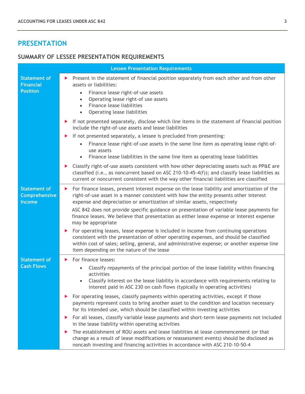## **PRESENTATION**

## **SUMMARY OF LESSEE PRESENTATION REQUIREMENTS**

|                                                              | <b>Lessee Presentation Requirements</b>                                                                                                                                                                                                                                                                                         |
|--------------------------------------------------------------|---------------------------------------------------------------------------------------------------------------------------------------------------------------------------------------------------------------------------------------------------------------------------------------------------------------------------------|
| <b>Statement of</b><br><b>Financial</b><br><b>Position</b>   | Present in the statement of financial position separately from each other and from other<br>▶<br>assets or liabilities:<br>Finance lease right-of-use assets<br>$\bullet$<br>Operating lease right-of use assets<br>$\bullet$<br>Finance lease liabilities<br>$\bullet$<br>Operating lease liabilities<br>$\bullet$             |
|                                                              | If not presented separately, disclose which line items in the statement of financial position<br>▶<br>include the right-of-use assets and lease liabilities                                                                                                                                                                     |
|                                                              | If not presented separately, a lessee is precluded from presenting:<br>▶<br>Finance lease right-of-use assets in the same line item as operating lease right-of-<br>$\bullet$<br>use assets<br>Finance lease liabilities in the same line item as operating lease liabilities                                                   |
|                                                              | Classify right-of-use assets consistent with how other depreciating assets such as PP&E are<br>▶<br>classified (i.e., as noncurrent based on ASC 210-10-45-4(f)); and classify lease liabilities as<br>current or noncurrent consistent with the way other financial liabilities are classified                                 |
| <b>Statement of</b><br><b>Comprehensive</b><br><b>Income</b> | For finance leases, present interest expense on the lease liability and amortization of the<br>▶<br>right-of-use asset in a manner consistent with how the entity presents other interest<br>expense and depreciation or amortization of similar assets, respectively                                                           |
|                                                              | ASC 842 does not provide specific guidance on presentation of variable lease payments for<br>finance leases. We believe that presentation as either lease expense or interest expense<br>may be appropriate                                                                                                                     |
|                                                              | For operating leases, lease expense is included in income from continuing operations<br>▶<br>consistent with the presentation of other operating expenses, and should be classified<br>within cost of sales; selling, general, and administrative expense; or another expense line<br>item depending on the nature of the lease |
| <b>Statement of</b>                                          | For finance leases:<br>▶                                                                                                                                                                                                                                                                                                        |
| <b>Cash Flows</b>                                            | Classify repayments of the principal portion of the lease liability within financing<br>activities<br>Classify interest on the lease liability in accordance with requirements relating to<br>interest paid in ASC 230 on cash flows (typically in operating activities)                                                        |
|                                                              | For operating leases, classify payments within operating activities, except if those<br>▶<br>payments represent costs to bring another asset to the condition and location necessary<br>for its intended use, which should be classified within investing activities                                                            |
|                                                              | For all leases, classify variable lease payments and short-term lease payments not included<br>▶<br>in the lease liability within operating activities                                                                                                                                                                          |
|                                                              | The establishment of ROU assets and lease liabilities at lease commencement (or that<br>▶<br>change as a result of lease modifications or reassessment events) should be disclosed as<br>noncash investing and financing activities in accordance with ASC 210-10-50-4                                                          |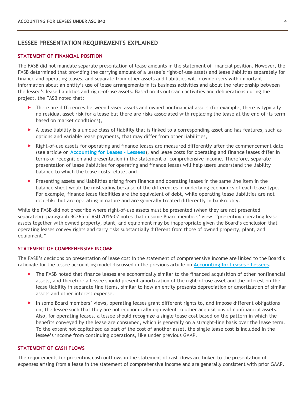#### **LESSEE PRESENTATION REQUIREMENTS EXPLAINED**

#### **STATEMENT OF FINANCIAL POSITION**

The FASB did not mandate separate presentation of lease amounts in the statement of financial position. However, the FASB determined that providing the carrying amount of a lessee's right-of-use assets and lease liabilities separately for finance and operating leases, and separate from other assets and liabilities will provide users with important information about an entity's use of lease arrangements in its business activities and about the relationship between the lessee's lease liabilities and right-of-use assets. Based on its outreach activities and deliberations during the project, the FASB noted that:

- $\triangleright$  There are differences between leased assets and owned nonfinancial assets (for example, there is typically no residual asset risk for a lease but there are risks associated with replacing the lease at the end of its term based on market conditions),
- $\blacktriangleright$  A lease liability is a unique class of liability that is linked to a corresponding asset and has features, such as options and variable lease payments, that may differ from other liabilities,
- **Right-of-use assets for operating and finance leases are measured differently after the commencement date** (see article on **[Accounting for Leases -](https://www.bdo.com/insights/assurance/accounting-and-reporting-advisory/accounting-for-leases-lessees) Lessees**), and lease costs for operating and finance leases differ in terms of recognition and presentation in the statement of comprehensive income. Therefore, separate presentation of lease liabilities for operating and finance leases will help users understand the liability balance to which the lease costs relate, and
- $\blacktriangleright$  Presenting assets and liabilities arising from finance and operating leases in the same line item in the balance sheet would be misleading because of the differences in underlying economics of each lease type. For example, finance lease liabilities are the equivalent of debt, while operating lease liabilities are not debt-like but are operating in nature and are generally treated differently in bankruptcy.

While the FASB did not prescribe where right-of-use assets must be presented (when they are not presented separately), paragraph BC265 of ASU 2016-02 notes that in some Board members' view, "presenting operating lease assets together with owned property, plant, and equipment may be inappropriate given the Board's conclusion that operating leases convey rights and carry risks substantially different from those of owned property, plant, and equipment."

#### **STATEMENT OF COMPREHENSIVE INCOME**

The FASB's decisions on presentation of lease cost in the statement of comprehensive income are linked to the Board's rationale for the lessee accounting model discussed in the previous article on **[Accounting for Leases -](https://www.bdo.com/insights/assurance/accounting-and-reporting-advisory/accounting-for-leases-lessees) Lessees**.

- ▶ The FASB noted that finance leases are economically similar to the financed acquisition of other nonfinancial assets, and therefore a lessee should present amortization of the right-of-use asset and the interest on the lease liability in separate line items, similar to how an entity presents depreciation or amortization of similar assets and other interest expense.
- In some Board members' views, operating leases grant different rights to, and impose different obligations on, the lessee such that they are not economically equivalent to other acquisitions of nonfinancial assets. Also, for operating leases, a lessee should recognize a single lease cost based on the pattern in which the benefits conveyed by the lease are consumed, which is generally on a straight-line basis over the lease term. To the extent not capitalized as part of the cost of another asset, the single lease cost is included in the lessee's income from continuing operations, like under previous GAAP.

#### **STATEMENT OF CASH FLOWS**

The requirements for presenting cash outflows in the statement of cash flows are linked to the presentation of expenses arising from a lease in the statement of comprehensive income and are generally consistent with prior GAAP.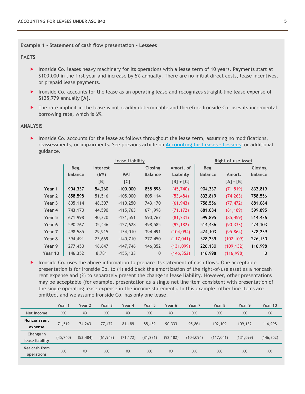#### **Example 1 - Statement of cash flow presentation - Lessees**

#### **FACTS**

- **IF** Ironside Co. leases heavy machinery for its operations with a lease term of 10 years. Payments start at \$100,000 in the first year and increase by 5% annually. There are no initial direct costs, lease incentives, or prepaid lease payments.
- **IF IT ITS 2015 ITS 2015** Ironside Co. accounts for the lease as an operating lease and recognizes straight-line lease expense of \$125,779 annually **[A]**.
- ▶ The rate implicit in the lease is not readily determinable and therefore Ironside Co. uses its incremental borrowing rate, which is 6%.

#### **ANALYSIS**

▶ Ironside Co. accounts for the lease as follows throughout the lease term, assuming no modifications, reassessments, or impairments. See previous article on **[Accounting for Leases -](https://www.bdo.com/insights/assurance/accounting-and-reporting-advisory/accounting-for-leases-lessees) Lessees** for additional guidance.

|         |                |                 | <b>Lease Liability</b> |                |             |                | <b>Right-of-use Asset</b> |                |
|---------|----------------|-----------------|------------------------|----------------|-------------|----------------|---------------------------|----------------|
|         | Beg.           | <b>Interest</b> |                        | Closing        | Amort, of   | Beg.           |                           | <b>Closing</b> |
|         | <b>Balance</b> | (6%)            | <b>PMT</b>             | <b>Balance</b> | Liability   | <b>Balance</b> | Amort.                    | <b>Balance</b> |
|         |                | [B]             | [C]                    |                | $[B] + [C]$ |                | $[A] - [B]$               |                |
| Year 1  | 904,337        | 54,260          | $-100,000$             | 858,598        | (45,740)    | 904,337        | (71, 519)                 | 832,819        |
| Year 2  | 858,598        | 51,516          | $-105,000$             | 805,114        | (53, 484)   | 832,819        | (74, 263)                 | 758,556        |
| Year 3  | 805,114        | 48,307          | $-110,250$             | 743,170        | (61, 943)   | 758,556        | (77, 472)                 | 681,084        |
| Year 4  | 743,170        | 44,590          | $-115,763$             | 671,998        | (71, 172)   | 681,084        | (81, 189)                 | 599,895        |
| Year 5  | 671,998        | 40,320          | $-121,551$             | 590,767        | (81, 231)   | 599,895        | (85, 459)                 | 514,436        |
| Year 6  | 590,767        | 35,446          | $-127,628$             | 498,585        | (92, 182)   | 514,436        | (90, 333)                 | 424,103        |
| Year 7  | 498,585        | 29,915          | $-134,010$             | 394,491        | (104, 094)  | 424,103        | (95, 864)                 | 328,239        |
| Year 8  | 394,491        | 23,669          | $-140,710$             | 277,450        | (117, 041)  | 328,239        | (102, 109)                | 226,130        |
| Year 9  | 277,450        | 16,647          | $-147,746$             | 146,352        | (131,099)   | 226,130        | (109, 132)                | 116,998        |
| Year 10 | 146,352        | 8,781           | $-155, 133$            | $\mathbf{0}$   | (146, 352)  | 116,998        | (116,998)                 | $\mathbf{0}$   |

Ironside Co. uses the above information to prepare its statement of cash flows. One acceptable presentation is for Ironside Co. to (1) add back the amortization of the right-of-use asset as a noncash rent expense and (2) to separately present the change in lease liability. However, other presentations may be acceptable (for example, presentation as a single net line item consistent with presentation of the single operating lease expense in the income statement). In this example, other line items are omitted, and we assume Ironside Co. has only one lease.

|                              | Year 1   | Year 2    | Year 3    | Year 4    | Year 5    | Year 6    | Year 7     | Year 8     | Year 9    | Year 10    |
|------------------------------|----------|-----------|-----------|-----------|-----------|-----------|------------|------------|-----------|------------|
| Net income                   | XX       | XX        | XX        | XX        | XX        | XX        | XX         | XX         | XX        | XX         |
| Noncash rent<br>expense      | 71,519   | 74,263    | 77,472    | 81,189    | 85,459    | 90,333    | 95,864     | 102,109    | 109,132   | 116,998    |
| Change in<br>lease liability | (45,740) | (53, 484) | (61, 943) | (71, 172) | (81, 231) | (92, 182) | (104, 094) | (117, 041) | (131,099) | (146, 352) |
| Net cash from<br>operations  | XX       | XX        | XX        | XX        | XX        | XX        | XX         | XX         | XX        | XX         |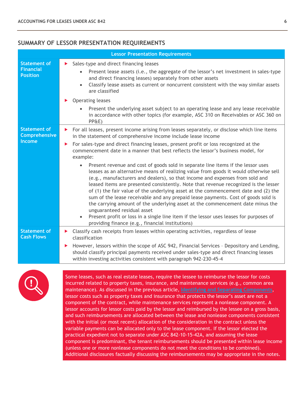### **SUMMARY OF LESSOR PRESENTATION REQUIREMENTS**

|                                                            | <b>Lessor Presentation Requirements</b>                                                                                                                                                                                                                                                                                                                                                                                                                                                                                                                                                                                                                                                                                                                                                                                                                                                                                                                                                                                               |
|------------------------------------------------------------|---------------------------------------------------------------------------------------------------------------------------------------------------------------------------------------------------------------------------------------------------------------------------------------------------------------------------------------------------------------------------------------------------------------------------------------------------------------------------------------------------------------------------------------------------------------------------------------------------------------------------------------------------------------------------------------------------------------------------------------------------------------------------------------------------------------------------------------------------------------------------------------------------------------------------------------------------------------------------------------------------------------------------------------|
| <b>Statement of</b><br><b>Financial</b><br><b>Position</b> | Sales-type and direct financing leases<br>▶<br>Present lease assets (i.e., the aggregate of the lessor's net investment in sales-type<br>$\bullet$<br>and direct financing leases) separately from other assets<br>Classify lease assets as current or noncurrent consistent with the way similar assets<br>are classified                                                                                                                                                                                                                                                                                                                                                                                                                                                                                                                                                                                                                                                                                                            |
|                                                            | Operating leases<br>Present the underlying asset subject to an operating lease and any lease receivable<br>$\bullet$<br>in accordance with other topics (for example, ASC 310 on Receivables or ASC 360 on<br>PP&E)                                                                                                                                                                                                                                                                                                                                                                                                                                                                                                                                                                                                                                                                                                                                                                                                                   |
| <b>Statement of</b><br>Comprehensive                       | For all leases, present income arising from leases separately, or disclose which line items<br>▶<br>in the statement of comprehensive income include lease income                                                                                                                                                                                                                                                                                                                                                                                                                                                                                                                                                                                                                                                                                                                                                                                                                                                                     |
| <b>Income</b>                                              | For sales-type and direct financing leases, present profit or loss recognized at the<br>$\blacktriangleright$<br>commencement date in a manner that best reflects the lessor's business model, for<br>example:<br>Present revenue and cost of goods sold in separate line items if the lessor uses<br>$\bullet$<br>leases as an alternative means of realizing value from goods it would otherwise sell<br>(e.g., manufacturers and dealers), so that income and expenses from sold and<br>leased items are presented consistently. Note that revenue recognized is the lesser<br>of (1) the fair value of the underlying asset at the commencement date and (2) the<br>sum of the lease receivable and any prepaid lease payments. Cost of goods sold is<br>the carrying amount of the underlying asset at the commencement date minus the<br>unguaranteed residual asset<br>Present profit or loss in a single line item if the lessor uses leases for purposes of<br>$\bullet$<br>providing finance (e.g., financial institutions) |
| <b>Statement of</b><br><b>Cash Flows</b>                   | Classify cash receipts from leases within operating activities, regardless of lease<br>▶<br>classification<br>However, lessors within the scope of ASC 942, Financial Services - Depository and Lending,<br>▶<br>should classify principal payments received under sales-type and direct financing leases<br>within investing activities consistent with paragraph 942-230-45-4                                                                                                                                                                                                                                                                                                                                                                                                                                                                                                                                                                                                                                                       |



Some leases, such as real estate leases, require the lessee to reimburse the lessor for costs incurred related to property taxes, insurance, and maintenance services (e.g., common area maintenance). As discussed in the previous article, **[Identifying and Separating Components](https://www.bdo.com/insights/assurance/accounting-and-reporting-advisory/accounting-for-leases-identifying-and-separating-c)**, lessor costs such as property taxes and insurance that protects the lessor's asset are not a component of the contract, while maintenance services represent a nonlease component. A lessor accounts for lessor costs paid by the lessor and reimbursed by the lessee on a gross basis, and such reimbursements are allocated between the lease and nonlease components consistent with the initial (or most recent) allocation of the consideration in the contract unless the variable payments can be allocated only to the lease component. If the lessor elected the practical expedient not to separate under ASC 842-10-15-42A, and assuming the lease component is predominant, the tenant reimbursements should be presented within lease income (unless one or more nonlease components do not meet the conditions to be combined). Additional disclosures factually discussing the reimbursements may be appropriate in the notes.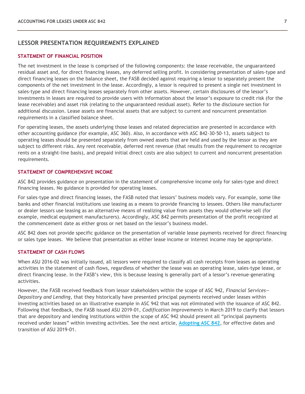#### **LESSOR PRESENTATION REQUIREMENTS EXPLAINED**

#### **STATEMENT OF FINANCIAL POSITION**

The net investment in the lease is comprised of the following components: the lease receivable, the unguaranteed residual asset and, for direct financing leases, any deferred selling profit. In considering presentation of sales-type and direct financing leases on the balance sheet, the FASB decided against requiring a lessor to separately present the components of the net investment in the lease. Accordingly, a lessor is required to present a single net investment in sales-type and direct financing leases separately from other assets. However, certain disclosures of the lessor's investments in leases are required to provide users with information about the lessor's exposure to credit risk (for the lease receivable) and asset risk (relating to the unguaranteed residual asset). Refer to the disclosure section for additional discussion. Lease assets are financial assets that are subject to current and noncurrent presentation requirements in a classified balance sheet.

For operating leases, the assets underlying those leases and related depreciation are presented in accordance with other accounting guidance (for example, ASC 360). Also, in accordance with ASC 842-30-50-13, assets subject to operating leases should be presented separately from owned assets that are held and used by the lessor as they are subject to different risks. Any rent receivable, deferred rent revenue (that results from the requirement to recognize rents on a straight-line basis), and prepaid initial direct costs are also subject to current and noncurrent presentation requirements.

#### **STATEMENT OF COMPREHENSIVE INCOME**

ASC 842 provides guidance on presentation in the statement of comprehensive income only for sales-type and direct financing leases. No guidance is provided for operating leases.

For sales-type and direct financing leases, the FASB noted that lessors' business models vary. For example, some like banks and other financial institutions use leasing as a means to provide financing to lessees. Others like manufacturer or dealer lessors use leasing as an alternative means of realizing value from assets they would otherwise sell (for example, medical equipment manufacturers). Accordingly, ASC 842 permits presentation of the profit recognized at the commencement date as either gross or net based on the lessor's business model.

ASC 842 does not provide specific guidance on the presentation of variable lease payments received for direct financing or sales type leases. We believe that presentation as either lease income or interest income may be appropriate.

#### **STATEMENT OF CASH FLOWS**

When ASU 2016-02 was initially issued, all lessors were required to classify all cash receipts from leases as operating activities in the statement of cash flows, regardless of whether the lease was an operating lease, sales-type lease, or direct financing lease. In the FASB's view, this is because leasing is generally part of a lessor's revenue-generating activities.

However, the FASB received feedback from lessor stakeholders within the scope of ASC 942, *Financial Services— Depository and Lending*, that they historically have presented principal payments received under leases within investing activities based on an illustrative example in ASC 942 that was not eliminated with the issuance of ASC 842. Following that feedback, the FASB issued ASU 2019-01, *Codification Improvements* in March 2019 to clarify that lessors that are depository and lending institutions within the scope of ASC 942 should present all "principal payments received under leases" within investing activities. See the next article, **[Adopting ASC 842](https://www.bdo.com/insights/assurance/accounting-and-reporting-advisory/accounting-for-leases-adopting-asc-842)**, for effective dates and transition of ASU 2019-01.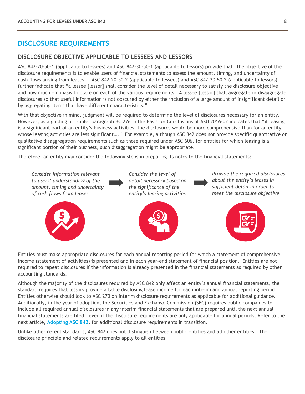## **DISCLOSURE REQUIREMENTS**

#### **DISCLOSURE OBJECTIVE APPLICABLE TO LESSEES AND LESSORS**

ASC 842-20-50-1 (applicable to lessees) and ASC 842-30-50-1 (applicable to lessors) provide that "the objective of the disclosure requirements is to enable users of financial statements to assess the amount, timing, and uncertainty of cash flows arising from leases." ASC 842-20-50-2 (applicable to lessees) and ASC 842-30-50-2 (applicable to lessors) further indicate that "a lessee [lessor] shall consider the level of detail necessary to satisfy the disclosure objective and how much emphasis to place on each of the various requirements. A lessee [lessor] shall aggregate or disaggregate disclosures so that useful information is not obscured by either the inclusion of a large amount of insignificant detail or by aggregating items that have different characteristics."

With that objective in mind, judgment will be required to determine the level of disclosures necessary for an entity. However, as a guiding principle, paragraph BC 276 in the Basis for Conclusions of ASU 2016-02 indicates that "if leasing is a significant part of an entity's business activities, the disclosures would be more comprehensive than for an entity whose leasing activities are less significant…." For example, although ASC 842 does not provide specific quantitative or qualitative disaggregation requirements such as those required under ASC 606, for entities for which leasing is a significant portion of their business, such disaggregation might be appropriate.

Therefore, an entity may consider the following steps in preparing its notes to the financial statements:



Entities must make appropriate disclosures for each annual reporting period for which a statement of comprehensive income (statement of activities) is presented and in each year-end statement of financial position. Entities are not required to repeat disclosures if the information is already presented in the financial statements as required by other accounting standards.

Although the majority of the disclosures required by ASC 842 only affect an entity's annual financial statements, the standard requires that lessors provide a table disclosing lease income for each interim and annual reporting period. Entities otherwise should look to ASC 270 on interim disclosure requirements as applicable for additional guidance. Additionally, in the year of adoption, the Securities and Exchange Commission (SEC) requires public companies to include all required annual disclosures in any interim financial statements that are prepared until the next annual financial statements are filed – even if the disclosure requirements are only applicable for annual periods. Refer to the next article, **[Adopting ASC 842](https://www.bdo.com/insights/assurance/accounting-and-reporting-advisory/accounting-for-leases-adopting-asc-842)**, for additional disclosure requirements in transition.

Unlike other recent standards, ASC 842 does not distinguish between public entities and all other entities. The disclosure principle and related requirements apply to all entities.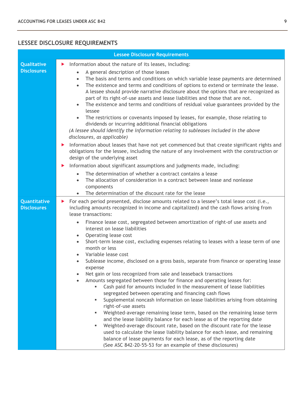## **LESSEE DISCLOSURE REQUIREMENTS**

|                                          | <b>Lessee Disclosure Requirements</b>                                                                                                                                                                                                                                                                                                                                                                                                                                                                                                                                                                                                                                                                                                                                                                                                                                                                                                                                                                                                                                                                                                                                                                                                                                                                                                                                                                                                                                                                                          |
|------------------------------------------|--------------------------------------------------------------------------------------------------------------------------------------------------------------------------------------------------------------------------------------------------------------------------------------------------------------------------------------------------------------------------------------------------------------------------------------------------------------------------------------------------------------------------------------------------------------------------------------------------------------------------------------------------------------------------------------------------------------------------------------------------------------------------------------------------------------------------------------------------------------------------------------------------------------------------------------------------------------------------------------------------------------------------------------------------------------------------------------------------------------------------------------------------------------------------------------------------------------------------------------------------------------------------------------------------------------------------------------------------------------------------------------------------------------------------------------------------------------------------------------------------------------------------------|
| <b>Qualitative</b><br><b>Disclosures</b> | Information about the nature of its leases, including:<br>▶<br>A general description of those leases<br>$\bullet$<br>The basis and terms and conditions on which variable lease payments are determined<br>$\bullet$<br>The existence and terms and conditions of options to extend or terminate the lease.<br>$\bullet$<br>A lessee should provide narrative disclosure about the options that are recognized as<br>part of its right-of-use assets and lease liabilities and those that are not.<br>The existence and terms and conditions of residual value guarantees provided by the<br>$\bullet$<br>lessee<br>The restrictions or covenants imposed by leases, for example, those relating to<br>$\bullet$<br>dividends or incurring additional financial obligations<br>(A lessee should identify the information relating to subleases included in the above<br>disclosures, as applicable)<br>Information about leases that have not yet commenced but that create significant rights and<br>▶<br>obligations for the lessee, including the nature of any involvement with the construction or<br>design of the underlying asset                                                                                                                                                                                                                                                                                                                                                                                      |
|                                          | Information about significant assumptions and judgments made, including:<br>▶<br>The determination of whether a contract contains a lease<br>$\bullet$<br>The allocation of consideration in a contract between lease and nonlease<br>$\bullet$<br>components<br>The determination of the discount rate for the lease                                                                                                                                                                                                                                                                                                                                                                                                                                                                                                                                                                                                                                                                                                                                                                                                                                                                                                                                                                                                                                                                                                                                                                                                          |
| Quantitative<br><b>Disclosures</b>       | For each period presented, disclose amounts related to a lessee's total lease cost (i.e.,<br>▶<br>including amounts recognized in income and capitalized) and the cash flows arising from<br>lease transactions:<br>Finance lease cost, segregated between amortization of right-of use assets and<br>$\bullet$<br>interest on lease liabilities<br>Operating lease cost<br>$\bullet$<br>Short-term lease cost, excluding expenses relating to leases with a lease term of one<br>$\bullet$<br>month or less<br>Variable lease cost<br>$\bullet$<br>Sublease income, disclosed on a gross basis, separate from finance or operating lease<br>$\bullet$<br>expense<br>Net gain or loss recognized from sale and leaseback transactions<br>Amounts segregated between those for finance and operating leases for:<br>Cash paid for amounts included in the measurement of lease liabilities<br>segregated between operating and financing cash flows<br>Supplemental noncash information on lease liabilities arising from obtaining<br>٠<br>right-of-use assets<br>Weighted-average remaining lease term, based on the remaining lease term<br>٠<br>and the lease liability balance for each lease as of the reporting date<br>Weighted-average discount rate, based on the discount rate for the lease<br>٠<br>used to calculate the lease liability balance for each lease, and remaining<br>balance of lease payments for each lease, as of the reporting date<br>(See ASC 842-20-55-53 for an example of these disclosures) |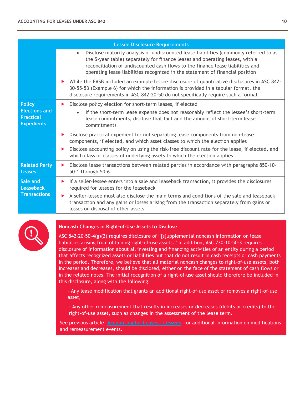|                                                                                | <b>Lessee Disclosure Requirements</b>                                                                                                                                                                                                                                                                                                                                                                 |
|--------------------------------------------------------------------------------|-------------------------------------------------------------------------------------------------------------------------------------------------------------------------------------------------------------------------------------------------------------------------------------------------------------------------------------------------------------------------------------------------------|
|                                                                                | Disclose maturity analysis of undiscounted lease liabilities (commonly referred to as<br>$\bullet$<br>the 5-year table) separately for finance leases and operating leases, with a<br>reconciliation of undiscounted cash flows to the finance lease liabilities and<br>operating lease liabilities recognized in the statement of financial position                                                 |
|                                                                                | While the FASB included an example lessee disclosure of quantitative disclosures in ASC 842-<br>▶<br>30-55-53 (Example 6) for which the information is provided in a tabular format, the<br>disclosure requirements in ASC 842-20-50 do not specifically require such a format                                                                                                                        |
| <b>Policy</b><br><b>Elections and</b><br><b>Practical</b><br><b>Expedients</b> | Disclose policy election for short-term leases, if elected<br>▶<br>If the short-term lease expense does not reasonably reflect the lessee's short-term<br>$\bullet$<br>lease commitments, disclose that fact and the amount of short-term lease<br>commitments                                                                                                                                        |
|                                                                                | Disclose practical expedient for not separating lease components from non-lease<br>▶<br>components, if elected, and which asset classes to which the election applies<br>Disclose accounting policy on using the risk-free discount rate for the lease, if elected, and<br>▶<br>which class or classes of underlying assets to which the election applies                                             |
| <b>Related Party</b><br><b>Leases</b>                                          | Disclose lease transactions between related parties in accordance with paragraphs 850-10-<br>▶<br>50-1 through 50-6                                                                                                                                                                                                                                                                                   |
| Sale and<br>Leaseback<br><b>Transactions</b>                                   | If a seller-lessee enters into a sale and leaseback transaction, it provides the disclosures<br>▶<br>required for lessees for the leaseback<br>A seller-lessee must also disclose the main terms and conditions of the sale and leaseback<br>$\blacktriangleright$<br>transaction and any gains or losses arising from the transaction separately from gains or<br>losses on disposal of other assets |



#### **Noncash Changes in Right-of-Use Assets to Disclose**

ASC 842-20-50-4(g)(2) requires disclosure of "[s]upplemental noncash information on lease liabilities arising from obtaining right-of-use assets." In addition, ASC 230-10-50-3 requires disclosure of information about all investing and financing activities of an entity during a period that affects recognized assets or liabilities but that do not result in cash receipts or cash payments in the period. Therefore, we believe that all material noncash changes to right-of-use assets, both increases and decreases, should be disclosed, either on the face of the statement of cash flows or in the related notes. The initial recognition of a right-of-use asset should therefore be included in this disclosure, along with the following:

- Any lease modification that grants an additional right-of-use asset or removes a right-of-use asset,

 - Any other remeasurement that results in increases or decreases (debits or credits) to the right-of-use asset, such as changes in the assessment of the lease term.

See previous article, **[Accounting for Leases –](https://www.bdo.com/insights/assurance/accounting-and-reporting-advisory/accounting-for-leases-lessees) Lessees**, for additional information on modifications and remeasurement events.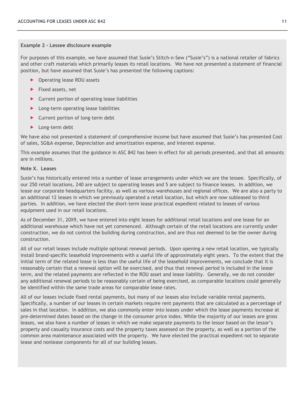#### **Example 2 - Lessee disclosure example**

For purposes of this example, we have assumed that Susie's Stitch-n-Sew ("Susie's") is a national retailer of fabrics and other craft materials which primarily leases its retail locations. We have not presented a statement of financial position, but have assumed that Susie's has presented the following captions:

- ▶ Operating lease ROU assets
- $\blacktriangleright$  Fixed assets, net
- Current portion of operating lease liabilities
- **Long-term operating lease liabilities**
- ▶ Current portion of long-term debt
- **Long-term debt**

We have also not presented a statement of comprehensive income but have assumed that Susie's has presented Cost of sales, SG&A expense, Depreciation and amortization expense, and Interest expense.

This example assumes that the guidance in ASC 842 has been in effect for all periods presented, and that all amounts are in millions.

#### **Note X. Leases**

Susie's has historically entered into a number of lease arrangements under which we are the lessee. Specifically, of our 250 retail locations, 240 are subject to operating leases and 5 are subject to finance leases. In addition, we lease our corporate headquarters facility, as well as various warehouses and regional offices. We are also a party to an additional 12 leases in which we previously operated a retail location, but which are now subleased to third parties. In addition, we have elected the short-term lease practical expedient related to leases of various equipment used in our retail locations.

As of December 31, 20X9, we have entered into eight leases for additional retail locations and one lease for an additional warehouse which have not yet commenced. Although certain of the retail locations are currently under construction, we do not control the building during construction, and are thus not deemed to be the owner during construction.

All of our retail leases include multiple optional renewal periods. Upon opening a new retail location, we typically install brand-specific leasehold improvements with a useful life of approximately eight years. To the extent that the initial term of the related lease is less than the useful life of the leasehold improvements, we conclude that it is reasonably certain that a renewal option will be exercised, and thus that renewal period is included in the lease term, and the related payments are reflected in the ROU asset and lease liability. Generally, we do not consider any additional renewal periods to be reasonably certain of being exercised, as comparable locations could generally be identified within the same trade areas for comparable lease rates.

All of our leases include fixed rental payments, but many of our leases also include variable rental payments. Specifically, a number of our leases in certain markets require rent payments that are calculated as a percentage of sales in that location. In addition, we also commonly enter into leases under which the lease payments increase at pre-determined dates based on the change in the consumer price index. While the majority of our leases are gross leases, we also have a number of leases in which we make separate payments to the lessor based on the lessor's property and casualty insurance costs and the property taxes assessed on the property, as well as a portion of the common area maintenance associated with the property. We have elected the practical expedient not to separate lease and nonlease components for all of our building leases.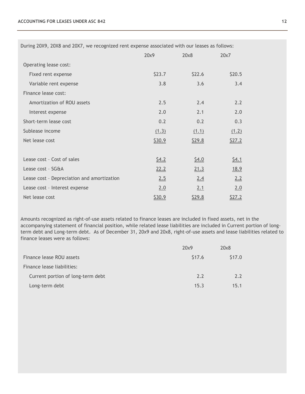During 20X9, 20X8 and 20X7, we recognized rent expense associated with our leases as follows:

|                                            | 20x9   | 20x8         | 20x7         |
|--------------------------------------------|--------|--------------|--------------|
| Operating lease cost:                      |        |              |              |
| Fixed rent expense                         | \$23.7 | \$22.6       | \$20.5       |
| Variable rent expense                      | 3.8    | 3.6          | 3.4          |
| Finance lease cost:                        |        |              |              |
| Amortization of ROU assets                 | 2.5    | 2.4          | 2.2          |
| Interest expense                           | 2.0    | 2.1          | 2.0          |
| Short-term lease cost                      | 0.2    | 0.2          | 0.3          |
| Sublease income                            | (1.3)  | (1.1)        | (1.2)        |
| Net lease cost                             | \$30.9 | \$29.8       | \$27.2       |
|                                            |        |              |              |
| Lease cost - Cost of sales                 | \$4.2  | <u>\$4.0</u> | <u>\$4.1</u> |
| Lease cost - SG&A                          | 22.2   | 21.3         | <u>18.9</u>  |
| Lease cost - Depreciation and amortization | 2.5    | 2.4          | 2.2          |
| Lease cost - Interest expense              | 2.0    | 2.1          | 2.0          |
| Net lease cost                             | \$30.9 | \$29.8       | \$27.2       |

Amounts recognized as right-of-use assets related to finance leases are included in fixed assets, net in the accompanying statement of financial position, while related lease liabilities are included in Current portion of longterm debt and Long-term debt. As of December 31, 20x9 and 20x8, right-of-use assets and lease liabilities related to finance leases were as follows:

|                                   | 20x9   | 20x8   |
|-----------------------------------|--------|--------|
| Finance lease ROU assets          | \$17.6 | \$17.0 |
| Finance lease liabilities:        |        |        |
| Current portion of long-term debt | 2.2    | 2.2    |
| Long-term debt                    | 15.3   | 15.1   |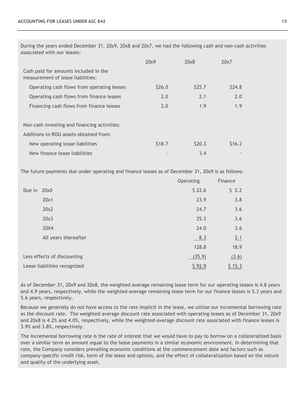During the years ended December 31, 20x9, 20x8 and 20x7, we had the following cash and non-cash activities associated with our leases:

|                                                                            | 20x9              | 20x8              | 20x7              |
|----------------------------------------------------------------------------|-------------------|-------------------|-------------------|
| Cash paid for amounts included in the<br>measurement of lease liabilities: |                   |                   |                   |
| Operating cash flows from operating leases                                 | S <sub>26.0</sub> | S <sub>25.7</sub> | S <sub>24.8</sub> |
| Operating cash flows from finance leases                                   | 2.0               | 2.1               | 2.0               |
| Financing cash flows from finance leases                                   | 2.0               | 1.9               | 1.9               |
|                                                                            |                   |                   |                   |
| Non-cash investing and financing activities:                               |                   |                   |                   |
| Additions to ROU assets obtained from:                                     |                   |                   |                   |
| New operating lease liabilities                                            | S <sub>18.7</sub> | S <sub>20.3</sub> | S <sub>16.2</sub> |
| New finance lease liabilities                                              |                   | 3.4               |                   |

The future payments due under operating and finance leases as of December 31, 20x9 is as follows:

|             |                              | Operating | Finance |
|-------------|------------------------------|-----------|---------|
| Due in 20x0 |                              | \$22.6    | \$2.2   |
|             | 20x1                         | 23.9      | 3.8     |
|             | 20x2                         | 24.7      | 3.6     |
|             | 20x3                         | 25.3      | 3.6     |
|             | 20X4                         | 24.0      | 3.6     |
|             | All years thereafter         | 8.3       | 2.1     |
|             |                              | 128.8     | 18.9    |
|             | Less effects of discounting  | (35.9)    | (3.6)   |
|             | Lease liabilities recognized | \$92.9    | \$15.3  |

As of December 31, 20x9 and 20x8, the weighted-average remaining lease term for our operating leases is 4.8 years and 4.9 years, respectively, while the weighted-average remaining lease term for our finance leases is 5.3 years and 5.6 years, respectively.

Because we generally do not have access to the rate implicit in the lease, we utilize our incremental borrowing rate as the discount rate. The weighted average discount rate associated with operating leases as of December 31, 20x9 and 20x8 is 4.2% and 4.0%, respectively, while the weighted-average discount rate associated with finance leases is 3.9% and 3.8%, respectively.

The incremental borrowing rate is the rate of interest that we would have to pay to borrow on a collateralized basis over a similar term an amount equal to the lease payments in a similar economic environment. In determining that rate, the Company considers prevailing economic conditions at the commencement date and factors such as company-specific credit risk, term of the lease and options, and the effect of collateralization based on the nature and quality of the underlying asset.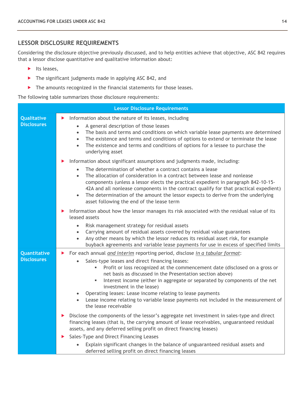## **LESSOR DISCLOSURE REQUIREMENTS**

Considering the disclosure objective previously discussed, and to help entities achieve that objective, ASC 842 requires that a lessor disclose quantitative and qualitative information about:

- $\blacktriangleright$  Its leases,
- ▶ The significant judgments made in applying ASC 842, and
- The amounts recognized in the financial statements for those leases.

The following table summarizes those disclosure requirements:

|                                    | <b>Lessor Disclosure Requirements</b>                                                                                                                                                                                                                                                                                                                                                                                                                                                                                                                                                                                                                                       |
|------------------------------------|-----------------------------------------------------------------------------------------------------------------------------------------------------------------------------------------------------------------------------------------------------------------------------------------------------------------------------------------------------------------------------------------------------------------------------------------------------------------------------------------------------------------------------------------------------------------------------------------------------------------------------------------------------------------------------|
| Qualitative<br><b>Disclosures</b>  | Information about the nature of its leases, including<br>▶<br>A general description of those leases<br>The basis and terms and conditions on which variable lease payments are determined<br>$\bullet$<br>The existence and terms and conditions of options to extend or terminate the lease<br>$\bullet$<br>The existence and terms and conditions of options for a lessee to purchase the<br>$\bullet$<br>underlying asset                                                                                                                                                                                                                                                |
|                                    | Information about significant assumptions and judgments made, including:<br>The determination of whether a contract contains a lease<br>The allocation of consideration in a contract between lease and nonlease<br>$\bullet$<br>components (unless a lessor elects the practical expedient in paragraph 842-10-15-<br>42A and all nonlease components in the contract qualify for that practical expedient)<br>The determination of the amount the lessor expects to derive from the underlying<br>$\bullet$<br>asset following the end of the lease term                                                                                                                  |
|                                    | Information about how the lessor manages its risk associated with the residual value of its<br>▶<br>leased assets<br>Risk management strategy for residual assets<br>$\bullet$<br>Carrying amount of residual assets covered by residual value guarantees<br>Any other means by which the lessor reduces its residual asset risk, for example<br>$\bullet$<br>buyback agreements and variable lease payments for use in excess of specified limits                                                                                                                                                                                                                          |
| Quantitative<br><b>Disclosures</b> | For each annual and interim reporting period, disclose in a tabular format:<br>▶<br>Sales-type leases and direct financing leases:<br>Profit or loss recognized at the commencement date (disclosed on a gross or<br>net basis as discussed in the Presentation section above)<br>Interest income (either in aggregate or separated by components of the net<br>٠<br>investment in the lease)<br>Operating leases: Lease income relating to lease payments<br>Lease income relating to variable lease payments not included in the measurement of<br>the lease receivable<br>Disclose the components of the lessor's aggregate net investment in sales-type and direct<br>▶ |
|                                    | financing leases (that is, the carrying amount of lease receivables, unguaranteed residual<br>assets, and any deferred selling profit on direct financing leases)<br>Sales-Type and Direct Financing Leases<br>▶<br>Explain significant changes in the balance of unguaranteed residual assets and<br>deferred selling profit on direct financing leases                                                                                                                                                                                                                                                                                                                    |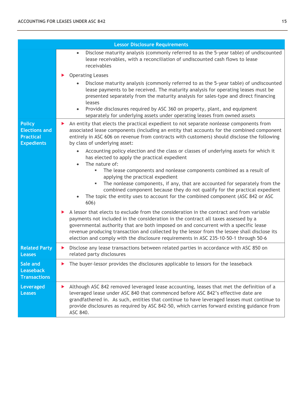|                                                                                | <b>Lessor Disclosure Requirements</b>                                                                                                                                                                                                                                                                                                                                                                                                                                                                                                                                                                                                                                                                                                                                                                                                                                                                                                                                                                                                                                                                                                                          |
|--------------------------------------------------------------------------------|----------------------------------------------------------------------------------------------------------------------------------------------------------------------------------------------------------------------------------------------------------------------------------------------------------------------------------------------------------------------------------------------------------------------------------------------------------------------------------------------------------------------------------------------------------------------------------------------------------------------------------------------------------------------------------------------------------------------------------------------------------------------------------------------------------------------------------------------------------------------------------------------------------------------------------------------------------------------------------------------------------------------------------------------------------------------------------------------------------------------------------------------------------------|
|                                                                                | Disclose maturity analysis (commonly referred to as the 5-year table) of undiscounted<br>$\bullet$<br>lease receivables, with a reconciliation of undiscounted cash flows to lease<br>receivables                                                                                                                                                                                                                                                                                                                                                                                                                                                                                                                                                                                                                                                                                                                                                                                                                                                                                                                                                              |
|                                                                                | <b>Operating Leases</b><br>Disclose maturity analysis (commonly referred to as the 5-year table) of undiscounted<br>lease payments to be received. The maturity analysis for operating leases must be<br>presented separately from the maturity analysis for sales-type and direct financing<br>leases<br>Provide disclosures required by ASC 360 on property, plant, and equipment<br>$\bullet$<br>separately for underlying assets under operating leases from owned assets                                                                                                                                                                                                                                                                                                                                                                                                                                                                                                                                                                                                                                                                                  |
| <b>Policy</b><br><b>Elections and</b><br><b>Practical</b><br><b>Expedients</b> | An entity that elects the practical expedient to not separate nonlease components from<br>▶<br>associated lease components (including an entity that accounts for the combined component<br>entirely in ASC 606 on revenue from contracts with customers) should disclose the following<br>by class of underlying asset:<br>Accounting policy election and the class or classes of underlying assets for which it<br>$\bullet$<br>has elected to apply the practical expedient<br>The nature of:<br>The lease components and nonlease components combined as a result of<br>g,<br>applying the practical expedient<br>The nonlease components, if any, that are accounted for separately from the<br>٠<br>combined component because they do not qualify for the practical expedient<br>The topic the entity uses to account for the combined component (ASC 842 or ASC<br>606)<br>A lessor that elects to exclude from the consideration in the contract and from variable<br>▶<br>payments not included in the consideration in the contract all taxes assessed by a<br>governmental authority that are both imposed on and concurrent with a specific lease |
|                                                                                | revenue producing transaction and collected by the lessor from the lessee shall disclose its<br>election and comply with the disclosure requirements in ASC 235-10-50-1 through 50-6                                                                                                                                                                                                                                                                                                                                                                                                                                                                                                                                                                                                                                                                                                                                                                                                                                                                                                                                                                           |
| <b>Related Party</b><br><b>Leases</b>                                          | Disclose any lease transactions between related parties in accordance with ASC 850 on<br>▶<br>related party disclosures                                                                                                                                                                                                                                                                                                                                                                                                                                                                                                                                                                                                                                                                                                                                                                                                                                                                                                                                                                                                                                        |
| Sale and<br><b>Leaseback</b><br><b>Transactions</b>                            | The buyer-lessor provides the disclosures applicable to lessors for the leaseback                                                                                                                                                                                                                                                                                                                                                                                                                                                                                                                                                                                                                                                                                                                                                                                                                                                                                                                                                                                                                                                                              |
| Leveraged<br><b>Leases</b>                                                     | Although ASC 842 removed leveraged lease accounting, leases that met the definition of a<br>▶<br>leveraged lease under ASC 840 that commenced before ASC 842's effective date are<br>grandfathered in. As such, entities that continue to have leveraged leases must continue to<br>provide disclosures as required by ASC 842-50, which carries forward existing guidance from<br>ASC 840.                                                                                                                                                                                                                                                                                                                                                                                                                                                                                                                                                                                                                                                                                                                                                                    |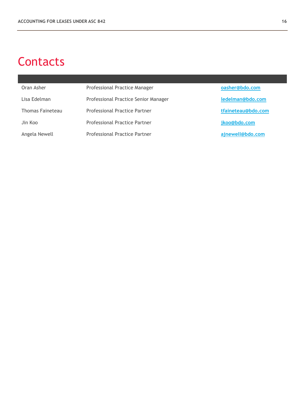## **Contacts**

| Oran Asher       | Professional Practice Manager        | oasher@bdo.com     |
|------------------|--------------------------------------|--------------------|
| Lisa Edelman     | Professional Practice Senior Manager | ledelman@bdo.com   |
| Thomas Faineteau | <b>Professional Practice Partner</b> | tfaineteau@bdo.com |
| Jin Koo          | <b>Professional Practice Partner</b> | jkoo@bdo.com       |
| Angela Newell    | <b>Professional Practice Partner</b> | ajnewell@bdo.com   |